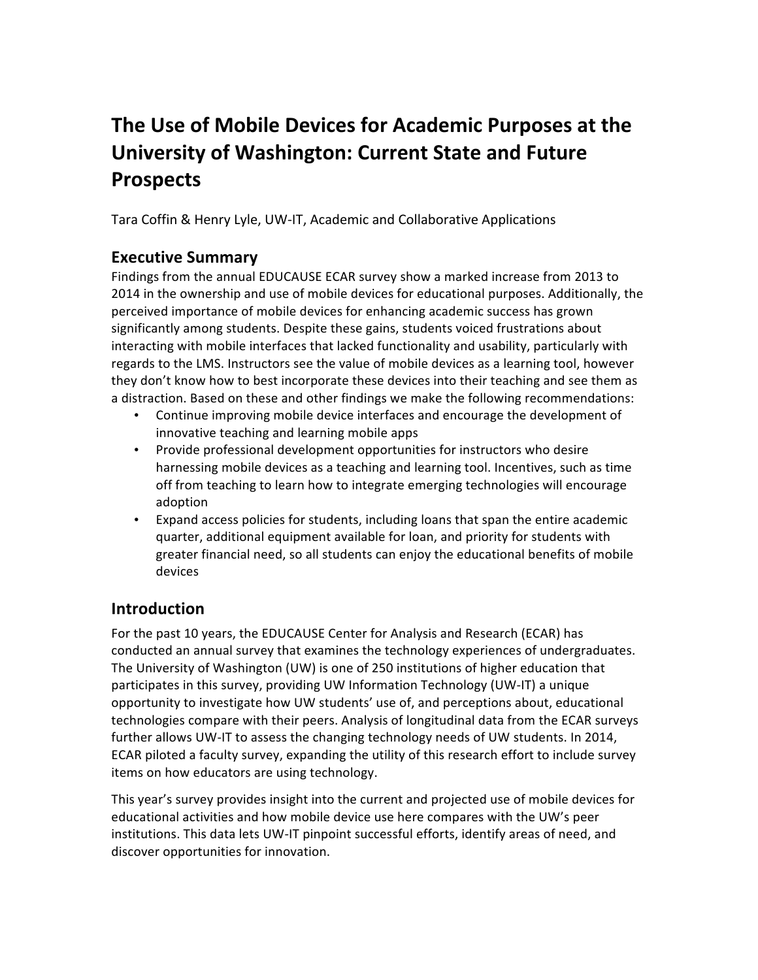# The Use of Mobile Devices for Academic Purposes at the **University of Washington: Current State and Future Prospects**

Tara Coffin & Henry Lyle, UW-IT, Academic and Collaborative Applications

# **Executive Summary**

Findings from the annual EDUCAUSE ECAR survey show a marked increase from 2013 to 2014 in the ownership and use of mobile devices for educational purposes. Additionally, the perceived importance of mobile devices for enhancing academic success has grown significantly among students. Despite these gains, students voiced frustrations about interacting with mobile interfaces that lacked functionality and usability, particularly with regards to the LMS. Instructors see the value of mobile devices as a learning tool, however they don't know how to best incorporate these devices into their teaching and see them as a distraction. Based on these and other findings we make the following recommendations:

- Continue improving mobile device interfaces and encourage the development of innovative teaching and learning mobile apps
- Provide professional development opportunities for instructors who desire harnessing mobile devices as a teaching and learning tool. Incentives, such as time off from teaching to learn how to integrate emerging technologies will encourage adoption
- Expand access policies for students, including loans that span the entire academic quarter, additional equipment available for loan, and priority for students with greater financial need, so all students can enjoy the educational benefits of mobile devices

# **Introduction**

For the past 10 years, the EDUCAUSE Center for Analysis and Research (ECAR) has conducted an annual survey that examines the technology experiences of undergraduates. The University of Washington (UW) is one of 250 institutions of higher education that participates in this survey, providing UW Information Technology (UW-IT) a unique opportunity to investigate how UW students' use of, and perceptions about, educational technologies compare with their peers. Analysis of longitudinal data from the ECAR surveys further allows UW-IT to assess the changing technology needs of UW students. In 2014, ECAR piloted a faculty survey, expanding the utility of this research effort to include survey items on how educators are using technology.

This year's survey provides insight into the current and projected use of mobile devices for educational activities and how mobile device use here compares with the UW's peer institutions. This data lets UW-IT pinpoint successful efforts, identify areas of need, and discover opportunities for innovation.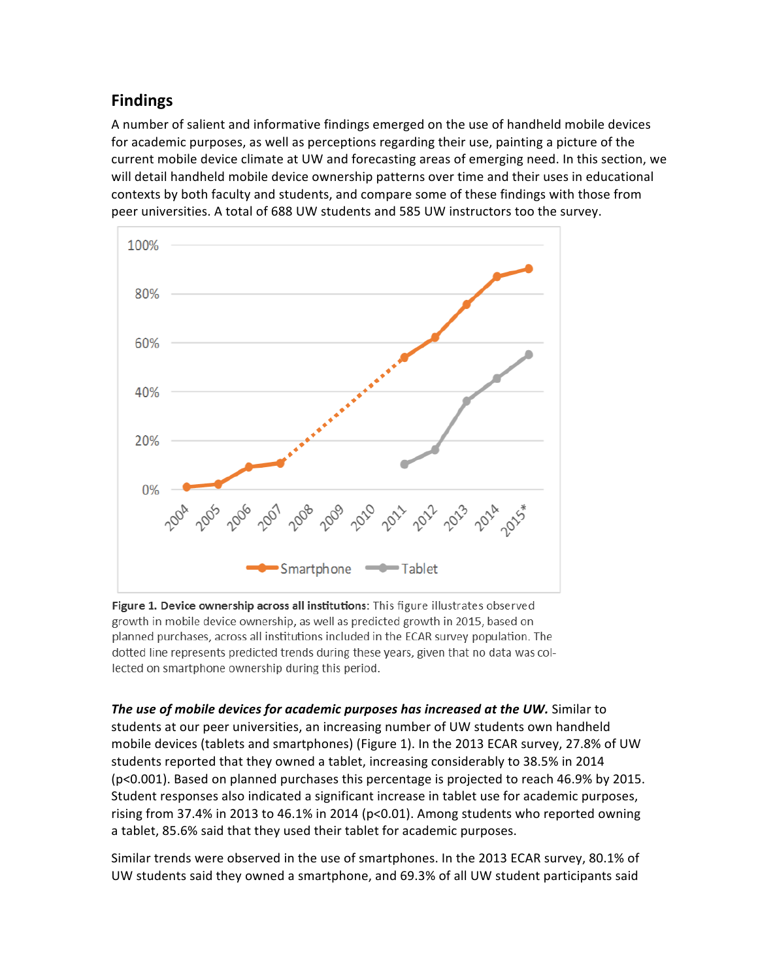# **Findings**

A number of salient and informative findings emerged on the use of handheld mobile devices for academic purposes, as well as perceptions regarding their use, painting a picture of the current mobile device climate at UW and forecasting areas of emerging need. In this section, we will detail handheld mobile device ownership patterns over time and their uses in educational contexts by both faculty and students, and compare some of these findings with those from peer universities. A total of 688 UW students and 585 UW instructors too the survey.



Figure 1. Device ownership across all institutions: This figure illustrates observed growth in mobile device ownership, as well as predicted growth in 2015, based on planned purchases, across all institutions included in the ECAR survey population. The dotted line represents predicted trends during these years, given that no data was collected on smartphone ownership during this period.

**The use of mobile devices for academic purposes has increased at the UW.** Similar to students at our peer universities, an increasing number of UW students own handheld mobile devices (tablets and smartphones) (Figure 1). In the 2013 ECAR survey, 27.8% of UW students reported that they owned a tablet, increasing considerably to 38.5% in 2014 (p<0.001). Based on planned purchases this percentage is projected to reach 46.9% by 2015. Student responses also indicated a significant increase in tablet use for academic purposes, rising from 37.4% in 2013 to 46.1% in 2014 ( $p$ <0.01). Among students who reported owning a tablet, 85.6% said that they used their tablet for academic purposes.

Similar trends were observed in the use of smartphones. In the 2013 ECAR survey, 80.1% of UW students said they owned a smartphone, and 69.3% of all UW student participants said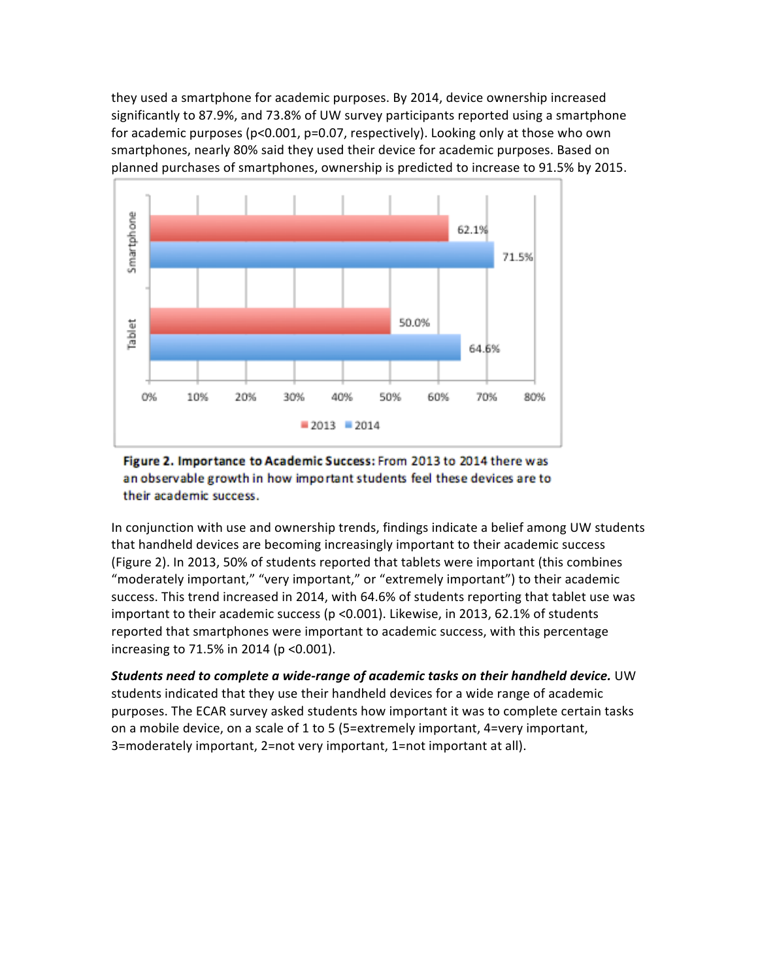they used a smartphone for academic purposes. By 2014, device ownership increased significantly to 87.9%, and 73.8% of UW survey participants reported using a smartphone for academic purposes  $(p<0.001, p=0.07,$  respectively). Looking only at those who own smartphones, nearly 80% said they used their device for academic purposes. Based on planned purchases of smartphones, ownership is predicted to increase to 91.5% by 2015.



#### Figure 2. Importance to Academic Success: From 2013 to 2014 there was an observable growth in how important students feel these devices are to their academic success.

In conjunction with use and ownership trends, findings indicate a belief among UW students that handheld devices are becoming increasingly important to their academic success (Figure 2). In 2013, 50% of students reported that tablets were important (this combines "moderately important," "very important," or "extremely important") to their academic success. This trend increased in 2014, with 64.6% of students reporting that tablet use was important to their academic success (p < 0.001). Likewise, in 2013, 62.1% of students reported that smartphones were important to academic success, with this percentage increasing to  $71.5\%$  in 2014 (p < 0.001).

*Students need to complete a wide-range of academic tasks on their handheld device.* **UW** students indicated that they use their handheld devices for a wide range of academic purposes. The ECAR survey asked students how important it was to complete certain tasks on a mobile device, on a scale of 1 to 5 (5=extremely important, 4=very important, 3=moderately important, 2=not very important, 1=not important at all).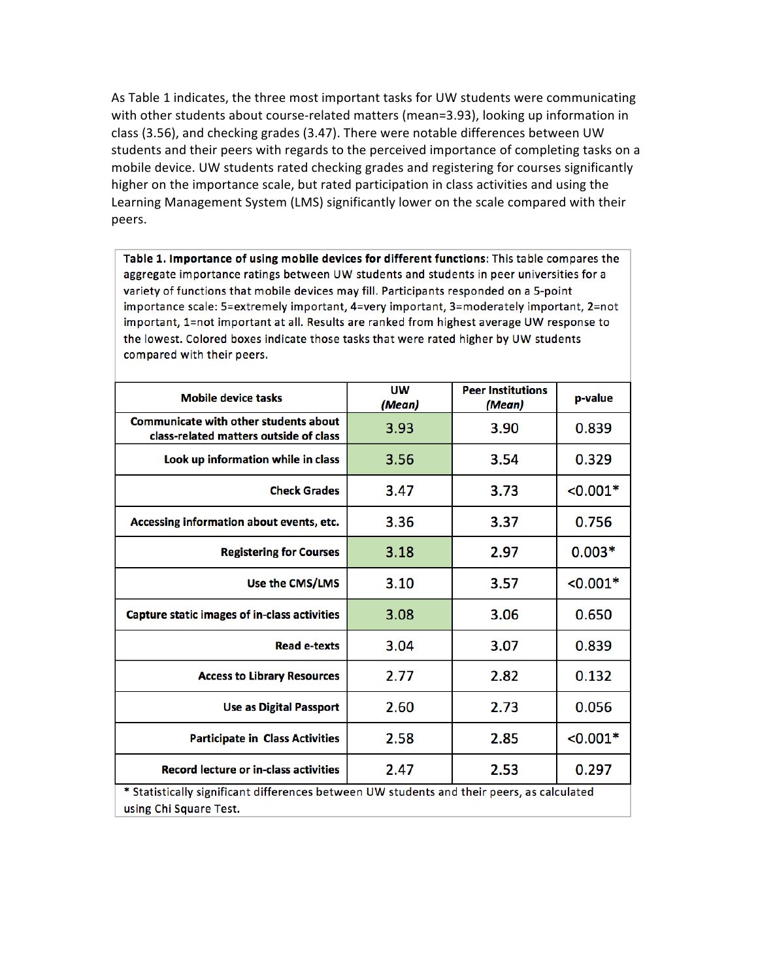As Table 1 indicates, the three most important tasks for UW students were communicating with other students about course-related matters (mean=3.93), looking up information in class (3.56), and checking grades (3.47). There were notable differences between UW students and their peers with regards to the perceived importance of completing tasks on a mobile device. UW students rated checking grades and registering for courses significantly higher on the importance scale, but rated participation in class activities and using the Learning Management System (LMS) significantly lower on the scale compared with their peers. 

Table 1. Importance of using mobile devices for different functions: This table compares the aggregate importance ratings between UW students and students in peer universities for a variety of functions that mobile devices may fill. Participants responded on a 5-point importance scale: 5=extremely important, 4=very important, 3=moderately important, 2=not important, 1=not important at all. Results are ranked from highest average UW response to the lowest. Colored boxes indicate those tasks that were rated higher by UW students compared with their peers.

| <b>Mobile device tasks</b>                                                                                           | <b>UW</b><br>(Mean) | <b>Peer Institutions</b><br>(Mean) | p-value    |
|----------------------------------------------------------------------------------------------------------------------|---------------------|------------------------------------|------------|
| <b>Communicate with other students about</b><br>class-related matters outside of class                               | 3.93                | 3.90                               | 0.839      |
| Look up information while in class                                                                                   | 3.56                | 3.54                               | 0.329      |
| <b>Check Grades</b>                                                                                                  | 3.47                | 3.73                               | $< 0.001*$ |
| Accessing information about events, etc.                                                                             | 3.36                | 3.37                               | 0.756      |
| <b>Registering for Courses</b>                                                                                       | 3.18                | 2.97                               | $0.003*$   |
| Use the CMS/LMS                                                                                                      | 3.10                | 3.57                               | $< 0.001*$ |
| <b>Capture static images of in-class activities</b>                                                                  | 3.08                | 3.06                               | 0.650      |
| <b>Read e-texts</b>                                                                                                  | 3.04                | 3.07                               | 0.839      |
| <b>Access to Library Resources</b>                                                                                   | 2.77                | 2.82                               | 0.132      |
| <b>Use as Digital Passport</b>                                                                                       | 2.60                | 2.73                               | 0.056      |
| <b>Participate in Class Activities</b>                                                                               | 2.58                | 2.85                               | $< 0.001*$ |
| <b>Record lecture or in-class activities</b>                                                                         | 2.47                | 2.53                               | 0.297      |
| * Statistically significant differences between UW students and their peers, as calculated<br>using Chi Square Test. |                     |                                    |            |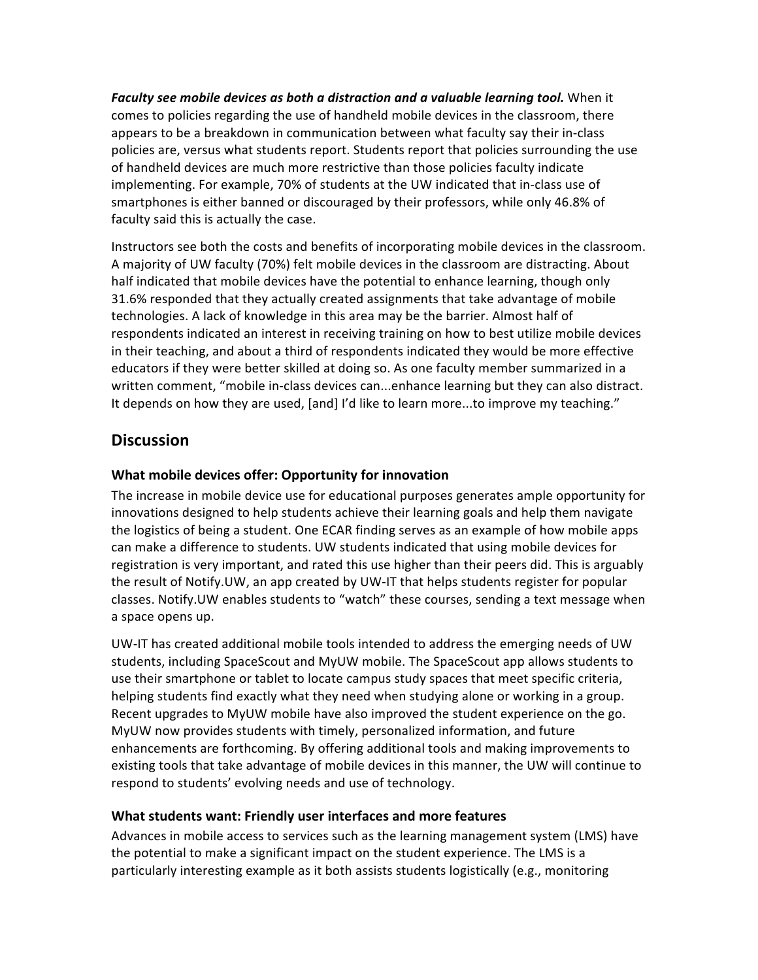*Faculty see mobile devices as both a distraction and a valuable learning tool.* **When it** comes to policies regarding the use of handheld mobile devices in the classroom, there appears to be a breakdown in communication between what faculty say their in-class policies are, versus what students report. Students report that policies surrounding the use of handheld devices are much more restrictive than those policies faculty indicate implementing. For example, 70% of students at the UW indicated that in-class use of smartphones is either banned or discouraged by their professors, while only 46.8% of faculty said this is actually the case.

Instructors see both the costs and benefits of incorporating mobile devices in the classroom. A majority of UW faculty (70%) felt mobile devices in the classroom are distracting. About half indicated that mobile devices have the potential to enhance learning, though only 31.6% responded that they actually created assignments that take advantage of mobile technologies. A lack of knowledge in this area may be the barrier. Almost half of respondents indicated an interest in receiving training on how to best utilize mobile devices in their teaching, and about a third of respondents indicated they would be more effective educators if they were better skilled at doing so. As one faculty member summarized in a written comment, "mobile in-class devices can...enhance learning but they can also distract. It depends on how they are used, [and] I'd like to learn more...to improve my teaching."

# **Discussion**

## **What mobile devices offer: Opportunity for innovation**

The increase in mobile device use for educational purposes generates ample opportunity for innovations designed to help students achieve their learning goals and help them navigate the logistics of being a student. One ECAR finding serves as an example of how mobile apps can make a difference to students. UW students indicated that using mobile devices for registration is very important, and rated this use higher than their peers did. This is arguably the result of Notify.UW, an app created by UW-IT that helps students register for popular classes. Notify. UW enables students to "watch" these courses, sending a text message when a space opens up.

UW-IT has created additional mobile tools intended to address the emerging needs of UW students, including SpaceScout and MyUW mobile. The SpaceScout app allows students to use their smartphone or tablet to locate campus study spaces that meet specific criteria, helping students find exactly what they need when studying alone or working in a group. Recent upgrades to MyUW mobile have also improved the student experience on the go. MyUW now provides students with timely, personalized information, and future enhancements are forthcoming. By offering additional tools and making improvements to existing tools that take advantage of mobile devices in this manner, the UW will continue to respond to students' evolving needs and use of technology.

## **What students want: Friendly user interfaces and more features**

Advances in mobile access to services such as the learning management system (LMS) have the potential to make a significant impact on the student experience. The LMS is a particularly interesting example as it both assists students logistically (e.g., monitoring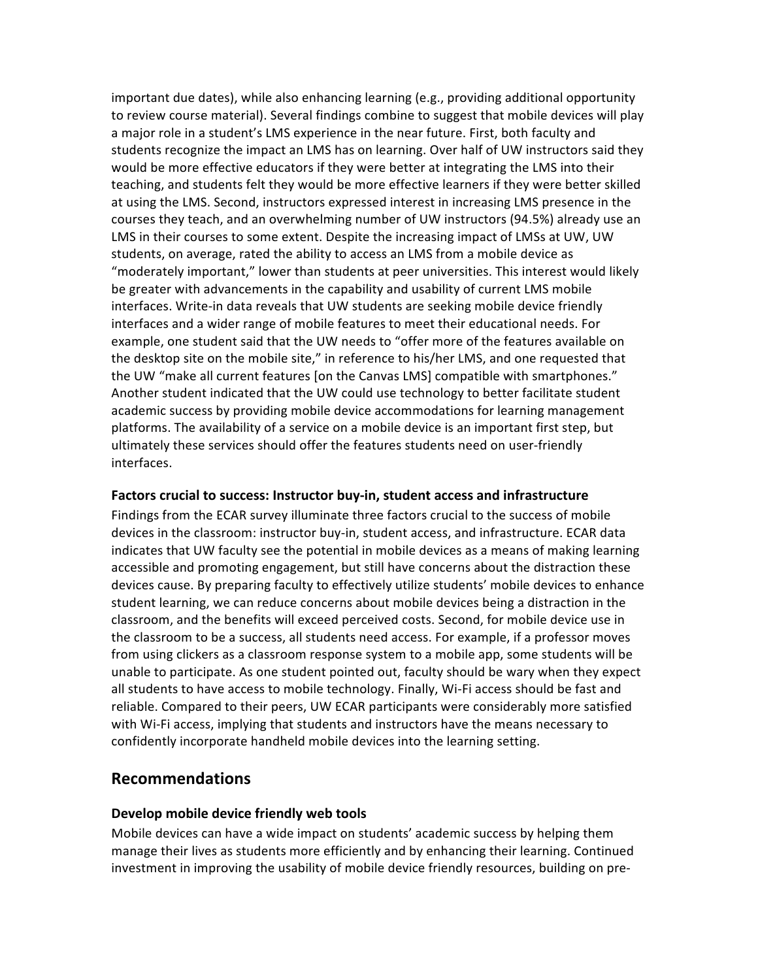important due dates), while also enhancing learning (e.g., providing additional opportunity to review course material). Several findings combine to suggest that mobile devices will play a major role in a student's LMS experience in the near future. First, both faculty and students recognize the impact an LMS has on learning. Over half of UW instructors said they would be more effective educators if they were better at integrating the LMS into their teaching, and students felt they would be more effective learners if they were better skilled at using the LMS. Second, instructors expressed interest in increasing LMS presence in the courses they teach, and an overwhelming number of UW instructors (94.5%) already use an LMS in their courses to some extent. Despite the increasing impact of LMSs at UW, UW students, on average, rated the ability to access an LMS from a mobile device as "moderately important," lower than students at peer universities. This interest would likely be greater with advancements in the capability and usability of current LMS mobile interfaces. Write-in data reveals that UW students are seeking mobile device friendly interfaces and a wider range of mobile features to meet their educational needs. For example, one student said that the UW needs to "offer more of the features available on the desktop site on the mobile site," in reference to his/her LMS, and one requested that the UW "make all current features [on the Canvas LMS] compatible with smartphones." Another student indicated that the UW could use technology to better facilitate student academic success by providing mobile device accommodations for learning management platforms. The availability of a service on a mobile device is an important first step, but ultimately these services should offer the features students need on user-friendly interfaces. 

#### Factors crucial to success: Instructor buy-in, student access and infrastructure

Findings from the ECAR survey illuminate three factors crucial to the success of mobile devices in the classroom: instructor buy-in, student access, and infrastructure. ECAR data indicates that UW faculty see the potential in mobile devices as a means of making learning accessible and promoting engagement, but still have concerns about the distraction these devices cause. By preparing faculty to effectively utilize students' mobile devices to enhance student learning, we can reduce concerns about mobile devices being a distraction in the classroom, and the benefits will exceed perceived costs. Second, for mobile device use in the classroom to be a success, all students need access. For example, if a professor moves from using clickers as a classroom response system to a mobile app, some students will be unable to participate. As one student pointed out, faculty should be wary when they expect all students to have access to mobile technology. Finally, Wi-Fi access should be fast and reliable. Compared to their peers, UW ECAR participants were considerably more satisfied with Wi-Fi access, implying that students and instructors have the means necessary to confidently incorporate handheld mobile devices into the learning setting.

## **Recommendations**

#### **Develop mobile device friendly web tools**

Mobile devices can have a wide impact on students' academic success by helping them manage their lives as students more efficiently and by enhancing their learning. Continued investment in improving the usability of mobile device friendly resources, building on pre